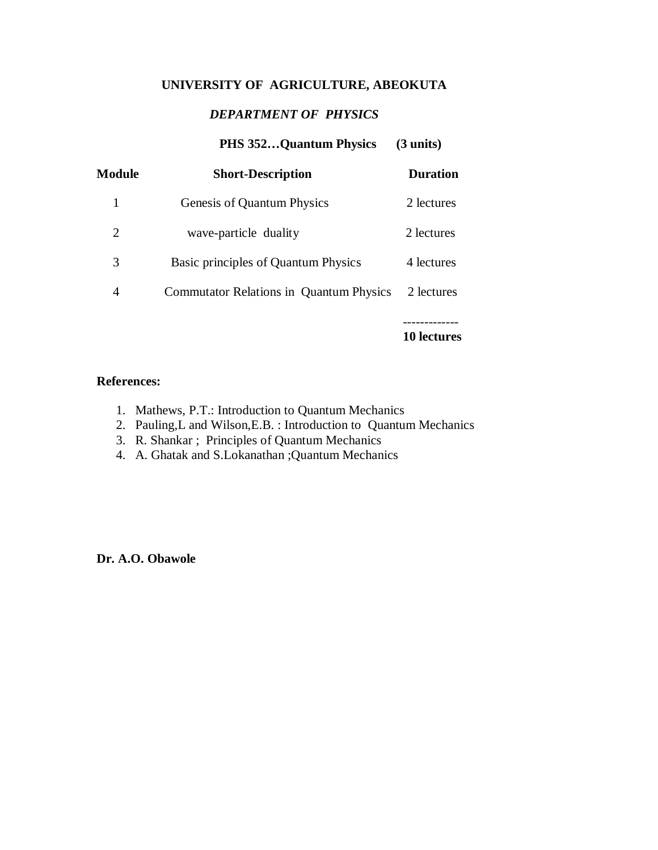# **UNIVERSITY OF AGRICULTURE, ABEOKUTA**

## *DEPARTMENT OF PHYSICS*

# **PHS 352…Quantum Physics (3 units)**

| Module | <b>Short-Description</b>                       | <b>Duration</b> |
|--------|------------------------------------------------|-----------------|
| 1      | Genesis of Quantum Physics                     | 2 lectures      |
| 2      | wave-particle duality                          | 2 lectures      |
| 3      | Basic principles of Quantum Physics            | 4 lectures      |
| 4      | <b>Commutator Relations in Quantum Physics</b> | 2 lectures      |
|        |                                                |                 |

**10 lectures**

### **References:**

- 1. Mathews, P.T.: Introduction to Quantum Mechanics
- 2. Pauling,L and Wilson,E.B. : Introduction to Quantum Mechanics
- 3. R. Shankar ; Principles of Quantum Mechanics
- 4. A. Ghatak and S.Lokanathan ;Quantum Mechanics

**Dr. A.O. Obawole**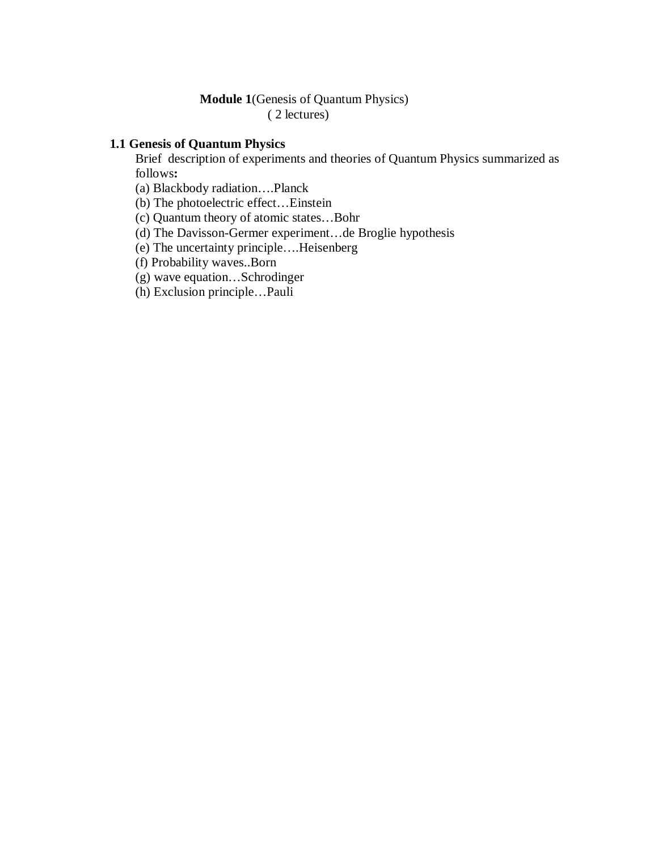### **Module 1**(Genesis of Quantum Physics) ( 2 lectures)

### **1.1 Genesis of Quantum Physics**

Brief description of experiments and theories of Quantum Physics summarized as follows**:**

- (a) Blackbody radiation….Planck
- (b) The photoelectric effect…Einstein
- (c) Quantum theory of atomic states…Bohr
- (d) The Davisson-Germer experiment…de Broglie hypothesis
- (e) The uncertainty principle….Heisenberg
- (f) Probability waves..Born
- (g) wave equation…Schrodinger
- (h) Exclusion principle…Pauli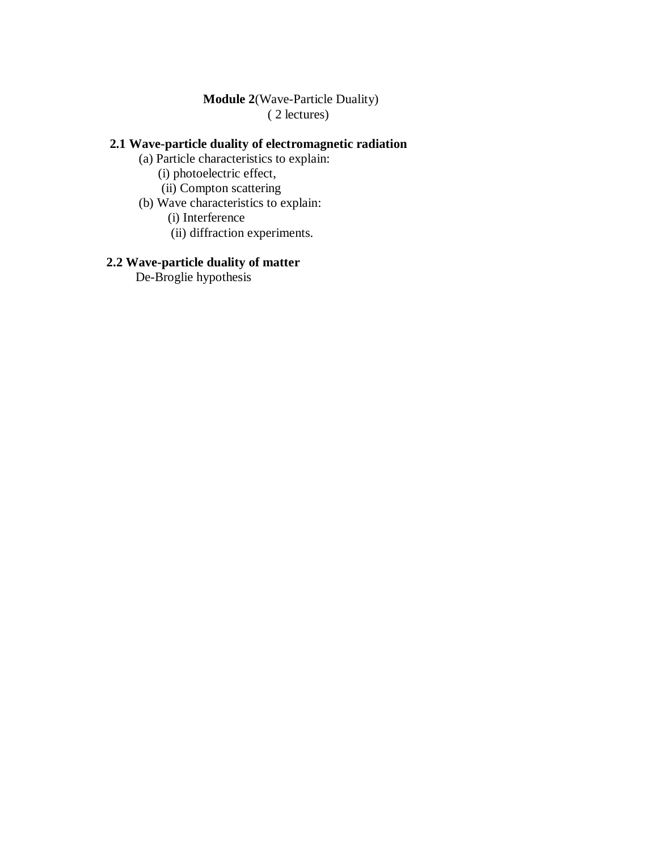### **Module 2**(Wave-Particle Duality) ( 2 lectures)

## **2.1 Wave-particle duality of electromagnetic radiation**

(a) Particle characteristics to explain:

(i) photoelectric effect,

- (ii) Compton scattering
- (b) Wave characteristics to explain:

(i) Interference

(ii) diffraction experiments.

## **2.2 Wave-particle duality of matter**

De-Broglie hypothesis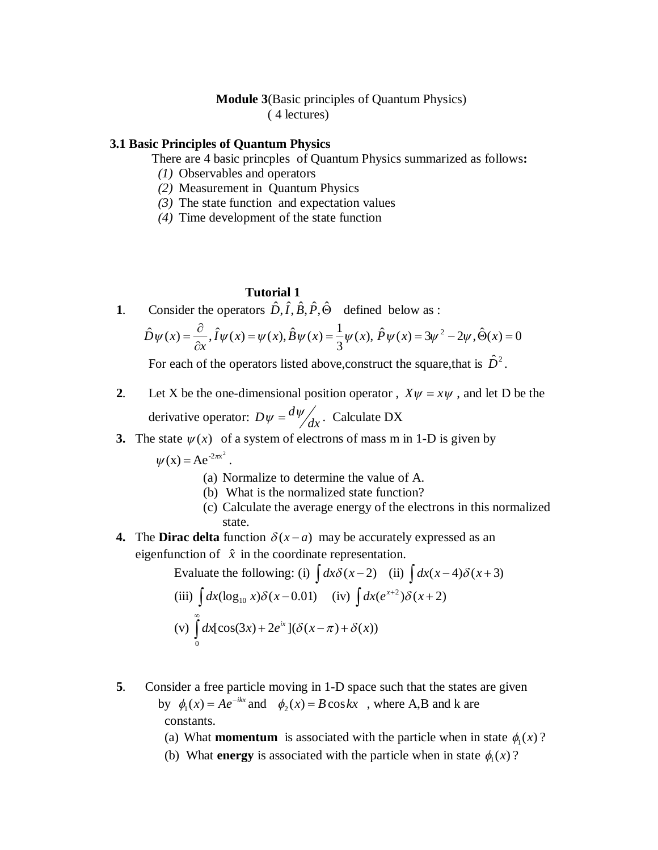### **Module 3**(Basic principles of Quantum Physics) ( 4 lectures)

#### **3.1 Basic Principles of Quantum Physics**

There are 4 basic princples of Quantum Physics summarized as follows**:**

- *(1)* Observables and operators
- *(2)* Measurement in Quantum Physics
- *(3)* The state function and expectation values
- *(4)* Time development of the state function

### **Tutorial 1**

**1**. Consider the operators  $\hat{D}, \hat{i}, \hat{B}, \hat{P}, \hat{\Theta}$  defined below as :

$$
\hat{D}\psi(x) = \frac{\partial}{\partial x}, \hat{I}\psi(x) = \psi(x), \hat{B}\psi(x) = \frac{1}{3}\psi(x), \hat{P}\psi(x) = 3\psi^2 - 2\psi, \hat{\Theta}(x) = 0
$$

For each of the operators listed above, construct the square, that is  $\hat{D}^2$ .

- **2**. Let X be the one-dimensional position operator,  $X\psi = x\psi$ , and let D be the derivative operator:  $D\psi = \frac{d\psi}{dx}$ . Calculate DX
	- **3.** The state  $\psi(x)$  of a system of electrons of mass m in 1-D is given by

 $\psi(x) = Ae^{-2\pi x^2}$ .

- (a) Normalize to determine the value of A.
- (b) What is the normalized state function?
- (c) Calculate the average energy of the electrons in this normalized state.
- **4.** The **Dirac delta** function  $\delta(x-a)$  may be accurately expressed as an eigenfunction of  $\hat{x}$  in the coordinate representation.

Evaluate the following: (i)  $\int dx \delta(x-2)$  (ii)  $\int dx(x-4)\delta(x+3)$ (iii)  $\int dx (\log_{10} x) \delta(x-0.01)$  (iv)  $\int dx (e^{x+2}) \delta(x+2)$  $(v)$ ∞  $+2e^{ix}$ ]( $\delta(x-\pi)+$  $\mathbf{0}$  $dx[\cos(3x) + 2e^{ix}](\delta(x-\pi) + \delta(x))$ 

- **5**. Consider a free particle moving in 1-D space such that the states are given by  $\phi_1(x) = Ae^{-ikx}$  and  $\phi_2(x) = B \cos kx$ , where A,B and k are constants.
	- (a) What **momentum** is associated with the particle when in state  $\phi_1(x)$ ?
- (b) What **energy** is associated with the particle when in state  $\phi_1(x)$ ?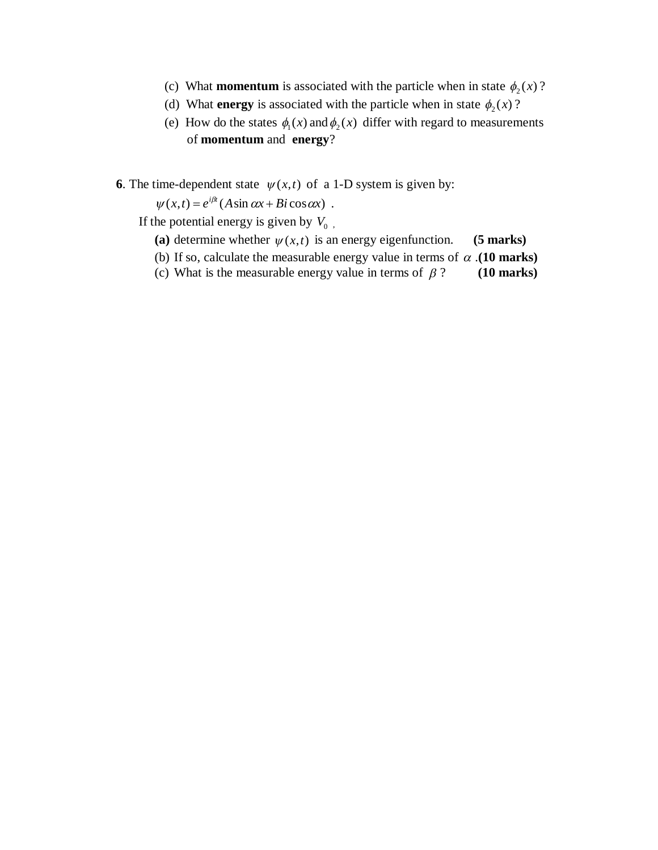- (c) What **momentum** is associated with the particle when in state  $\phi_2(x)$ ?
- (d) What **energy** is associated with the particle when in state  $\phi_2(x)$ ?
- (e) How do the states  $\phi_1(x)$  and  $\phi_2(x)$  differ with regard to measurements of **momentum** and **energy**?

**6**. The time-dependent state  $\psi(x,t)$  of a 1-D system is given by:

 $\psi(x,t) = e^{i\beta t} (A \sin \alpha x + B i \cos \alpha x)$ .

If the potential energy is given by  $V_0$ ,

- (a) determine whether  $\psi(x,t)$  is an energy eigenfunction. **(5 marks)**
- (b) If so, calculate the measurable energy value in terms of  $\alpha$ . (10 marks)
- (c) What is the measurable energy value in terms of  $\beta$  ? (10 marks)